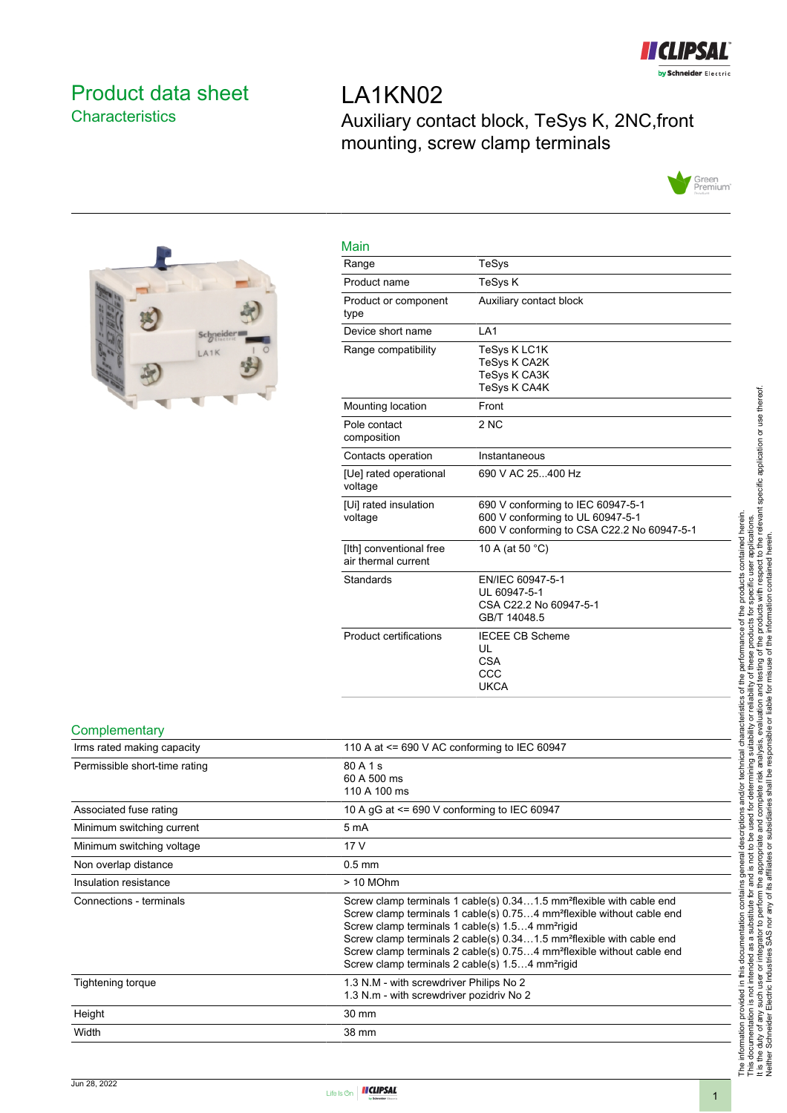

# <span id="page-0-0"></span>Product data sheet **Characteristics**

LA1KN02 Auxiliary contact block, TeSys K, 2NC,front mounting, screw clamp terminals





| Main                                           |                                                                                                                     |
|------------------------------------------------|---------------------------------------------------------------------------------------------------------------------|
| Range                                          | TeSys                                                                                                               |
| Product name                                   | <b>TeSys K</b>                                                                                                      |
| Product or component<br>type                   | Auxiliary contact block                                                                                             |
| Device short name                              | LA <sub>1</sub>                                                                                                     |
| Range compatibility                            | TeSys K LC1K<br>TeSys K CA2K<br><b>TeSys K CA3K</b><br><b>TeSys K CA4K</b>                                          |
| Mounting location                              | Front                                                                                                               |
| Pole contact<br>composition                    | 2NC                                                                                                                 |
| Contacts operation                             | Instantaneous                                                                                                       |
| [Ue] rated operational<br>voltage              | 690 V AC 25400 Hz                                                                                                   |
| [Ui] rated insulation<br>voltage               | 690 V conforming to IEC 60947-5-1<br>600 V conforming to UL 60947-5-1<br>600 V conforming to CSA C22.2 No 60947-5-1 |
| [Ith] conventional free<br>air thermal current | 10 A (at 50 °C)                                                                                                     |
| Standards                                      | EN/IEC 60947-5-1<br>UL 60947-5-1<br>CSA C22.2 No 60947-5-1<br>GB/T 14048.5                                          |
| <b>Product certifications</b>                  | <b>IECEE CB Scheme</b><br>UL<br><b>CSA</b><br>CCC<br><b>UKCA</b>                                                    |

#### **Complementary**

| Irms rated making capacity    | 110 A at $\leq$ 690 V AC conforming to IEC 60947                                                                                                                                                                                                                                                                                                                                                                                                                             |
|-------------------------------|------------------------------------------------------------------------------------------------------------------------------------------------------------------------------------------------------------------------------------------------------------------------------------------------------------------------------------------------------------------------------------------------------------------------------------------------------------------------------|
| Permissible short-time rating | 80 A 1 s<br>60 A 500 ms<br>110 A 100 ms                                                                                                                                                                                                                                                                                                                                                                                                                                      |
| Associated fuse rating        | 10 A gG at <= 690 V conforming to IEC 60947                                                                                                                                                                                                                                                                                                                                                                                                                                  |
| Minimum switching current     | 5 mA                                                                                                                                                                                                                                                                                                                                                                                                                                                                         |
| Minimum switching voltage     | 17 V                                                                                                                                                                                                                                                                                                                                                                                                                                                                         |
| Non overlap distance          | $0.5$ mm                                                                                                                                                                                                                                                                                                                                                                                                                                                                     |
| Insulation resistance         | $> 10$ MOhm                                                                                                                                                                                                                                                                                                                                                                                                                                                                  |
| Connections - terminals       | Screw clamp terminals 1 cable(s) 0.341.5 mm <sup>2</sup> flexible with cable end<br>Screw clamp terminals 1 cable(s) 0.754 mm <sup>2</sup> flexible without cable end<br>Screw clamp terminals 1 cable(s) 1.54 mm <sup>2</sup> rigid<br>Screw clamp terminals 2 cable(s) 0.341.5 mm <sup>2</sup> flexible with cable end<br>Screw clamp terminals 2 cable(s) 0.754 mm <sup>2</sup> flexible without cable end<br>Screw clamp terminals 2 cable(s) 1.54 mm <sup>2</sup> rigid |
| Tightening torque             | 1.3 N.M - with screwdriver Philips No 2<br>1.3 N.m - with screwdriver pozidriv No 2                                                                                                                                                                                                                                                                                                                                                                                          |
| Height                        | 30 mm                                                                                                                                                                                                                                                                                                                                                                                                                                                                        |
| Width                         | 38 mm                                                                                                                                                                                                                                                                                                                                                                                                                                                                        |